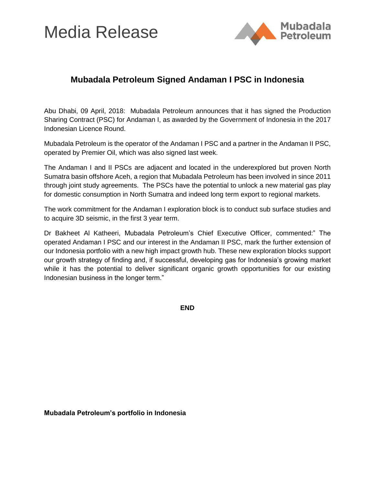# Media Release



### **Mubadala Petroleum Signed Andaman I PSC in Indonesia**

Abu Dhabi, 09 April, 2018: Mubadala Petroleum announces that it has signed the Production Sharing Contract (PSC) for Andaman I, as awarded by the Government of Indonesia in the 2017 Indonesian Licence Round.

Mubadala Petroleum is the operator of the Andaman I PSC and a partner in the Andaman II PSC, operated by Premier Oil, which was also signed last week.

The Andaman I and II PSCs are adjacent and located in the underexplored but proven North Sumatra basin offshore Aceh, a region that Mubadala Petroleum has been involved in since 2011 through joint study agreements. The PSCs have the potential to unlock a new material gas play for domestic consumption in North Sumatra and indeed long term export to regional markets.

The work commitment for the Andaman I exploration block is to conduct sub surface studies and to acquire 3D seismic, in the first 3 year term.

Dr Bakheet Al Katheeri, Mubadala Petroleum's Chief Executive Officer, commented:" The operated Andaman I PSC and our interest in the Andaman II PSC, mark the further extension of our Indonesia portfolio with a new high impact growth hub. These new exploration blocks support our growth strategy of finding and, if successful, developing gas for Indonesia's growing market while it has the potential to deliver significant organic growth opportunities for our existing Indonesian business in the longer term."

**END**

**Mubadala Petroleum's portfolio in Indonesia**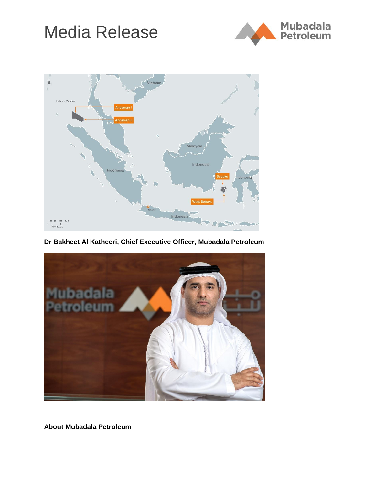# Media Release





**Dr Bakheet Al Katheeri, Chief Executive Officer, Mubadala Petroleum**



**About Mubadala Petroleum**